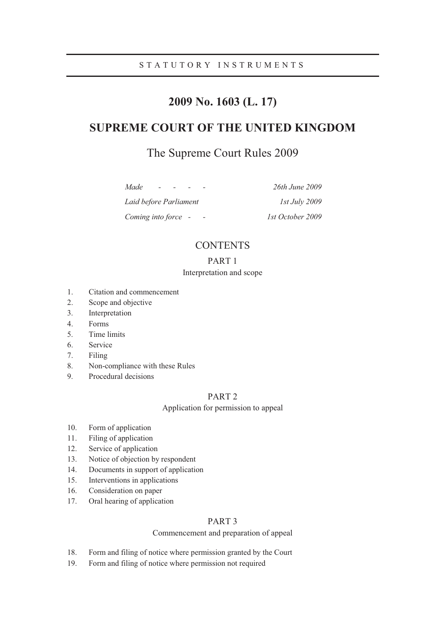## STATUTORY INSTRUMENTS

# **2009 No. 1603 (L. 17)**

# **SUPREME COURT OF THE UNITED KINGDOM**

# The Supreme Court Rules 2009

| Made                   | 26th June 2009       |
|------------------------|----------------------|
| Laid before Parliament | <i>Ist July 2009</i> |
| Coming into force -    | 1st October 2009     |

## **CONTENTS**

## PART 1

## Interpretation and scope

- 1. Citation and commencement
- 2. Scope and objective
- 3. Interpretation
- 4. Forms
- 5. Time limits
- 6. Service
- 7. Filing
- 8. Non-compliance with these Rules
- 9. Procedural decisions

## PART 2

## Application for permission to appeal

- 10. Form of application
- 11. Filing of application
- 12. Service of application
- 13. Notice of objection by respondent
- 14. Documents in support of application
- 15. Interventions in applications
- 16. Consideration on paper
- 17. Oral hearing of application

## PART 3

### Commencement and preparation of appeal

- 18. Form and filing of notice where permission granted by the Court
- 19. Form and filing of notice where permission not required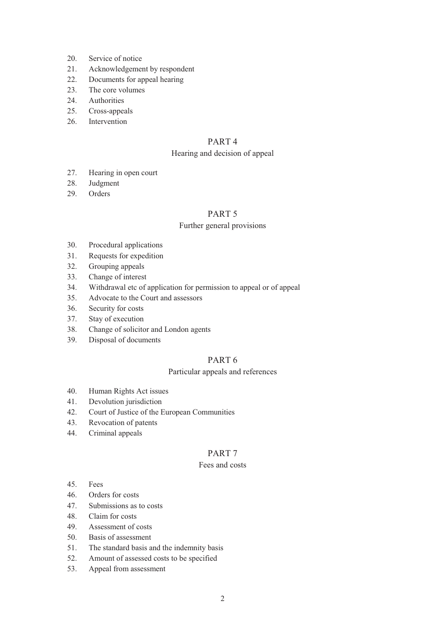- 20. Service of notice
- 21. Acknowledgement by respondent
- 22. Documents for appeal hearing
- 23. The core volumes
- 24. Authorities
- 25. Cross-appeals
- 26. Intervention

## PART 4

## Hearing and decision of appeal

- 27. Hearing in open court
- 28. Judgment
- 29. Orders

## PART 5

## Further general provisions

- 30. Procedural applications
- 31. Requests for expedition
- 32. Grouping appeals
- 33. Change of interest
- 34. Withdrawal etc of application for permission to appeal or of appeal
- 35. Advocate to the Court and assessors
- 36. Security for costs
- 37. Stay of execution
- 38. Change of solicitor and London agents
- 39. Disposal of documents

## PART 6

## Particular appeals and references

- 40. Human Rights Act issues
- 41. Devolution jurisdiction
- 42. Court of Justice of the European Communities
- 43. Revocation of patents
- 44. Criminal appeals

## PART 7

## Fees and costs

- 45. Fees
- 46. Orders for costs
- 47. Submissions as to costs
- 48. Claim for costs
- 49. Assessment of costs
- 50. Basis of assessment
- 51. The standard basis and the indemnity basis
- 52. Amount of assessed costs to be specified
- 53. Appeal from assessment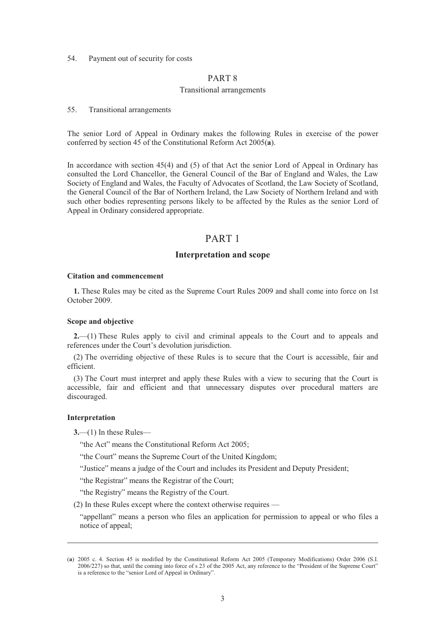### 54. Payment out of security for costs

## PART 8

### Transitional arrangements

#### 55. Transitional arrangements

The senior Lord of Appeal in Ordinary makes the following Rules in exercise of the power conferred by section 45 of the Constitutional Reform Act 2005(**a**).

In accordance with section 45(4) and (5) of that Act the senior Lord of Appeal in Ordinary has consulted the Lord Chancellor, the General Council of the Bar of England and Wales, the Law Society of England and Wales, the Faculty of Advocates of Scotland, the Law Society of Scotland, the General Council of the Bar of Northern Ireland, the Law Society of Northern Ireland and with such other bodies representing persons likely to be affected by the Rules as the senior Lord of Appeal in Ordinary considered appropriate.

## PART 1

## **Interpretation and scope**

## **Citation and commencement**

**1.** These Rules may be cited as the Supreme Court Rules 2009 and shall come into force on 1st October 2009.

#### **Scope and objective**

**2.**—(1) These Rules apply to civil and criminal appeals to the Court and to appeals and references under the Court's devolution jurisdiction.

(2) The overriding objective of these Rules is to secure that the Court is accessible, fair and efficient.

(3) The Court must interpret and apply these Rules with a view to securing that the Court is accessible, fair and efficient and that unnecessary disputes over procedural matters are discouraged.

#### **Interpretation**

-

**3.**—(1) In these Rules—

"the Act" means the Constitutional Reform Act 2005;

"the Court" means the Supreme Court of the United Kingdom;

"Justice" means a judge of the Court and includes its President and Deputy President;

"the Registrar" means the Registrar of the Court;

"the Registry" means the Registry of the Court.

(2) In these Rules except where the context otherwise requires —

"appellant" means a person who files an application for permission to appeal or who files a notice of appeal;

<sup>(</sup>**a**) 2005 c. 4. Section 45 is modified by the Constitutional Reform Act 2005 (Temporary Modifications) Order 2006 (S.I. 2006/227) so that, until the coming into force of s 23 of the 2005 Act, any reference to the "President of the Supreme Court" is a reference to the "senior Lord of Appeal in Ordinary".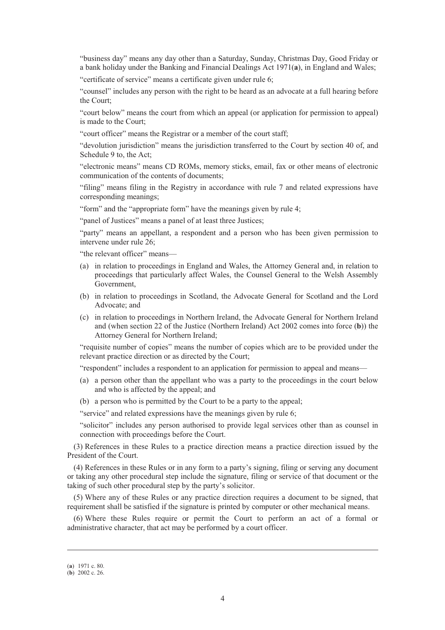"business day" means any day other than a Saturday, Sunday, Christmas Day, Good Friday or a bank holiday under the Banking and Financial Dealings Act 1971(**a**), in England and Wales;

"certificate of service" means a certificate given under rule 6;

"counsel" includes any person with the right to be heard as an advocate at a full hearing before the Court;

"court below" means the court from which an appeal (or application for permission to appeal) is made to the Court;

"court officer" means the Registrar or a member of the court staff;

"devolution jurisdiction" means the jurisdiction transferred to the Court by section 40 of, and Schedule 9 to, the Act;

"electronic means" means CD ROMs, memory sticks, email, fax or other means of electronic communication of the contents of documents;

"filing" means filing in the Registry in accordance with rule 7 and related expressions have corresponding meanings;

"form" and the "appropriate form" have the meanings given by rule 4;

"panel of Justices" means a panel of at least three Justices;

"party" means an appellant, a respondent and a person who has been given permission to intervene under rule 26;

"the relevant officer" means—

- (a) in relation to proceedings in England and Wales, the Attorney General and, in relation to proceedings that particularly affect Wales, the Counsel General to the Welsh Assembly Government,
- (b) in relation to proceedings in Scotland, the Advocate General for Scotland and the Lord Advocate; and
- (c) in relation to proceedings in Northern Ireland, the Advocate General for Northern Ireland and (when section 22 of the Justice (Northern Ireland) Act 2002 comes into force (**b**)) the Attorney General for Northern Ireland;

"requisite number of copies" means the number of copies which are to be provided under the relevant practice direction or as directed by the Court;

"respondent" includes a respondent to an application for permission to appeal and means—

- (a) a person other than the appellant who was a party to the proceedings in the court below and who is affected by the appeal; and
- (b) a person who is permitted by the Court to be a party to the appeal;

"service" and related expressions have the meanings given by rule 6;

"solicitor" includes any person authorised to provide legal services other than as counsel in connection with proceedings before the Court.

(3) References in these Rules to a practice direction means a practice direction issued by the President of the Court.

(4) References in these Rules or in any form to a party's signing, filing or serving any document or taking any other procedural step include the signature, filing or service of that document or the taking of such other procedural step by the party's solicitor.

(5) Where any of these Rules or any practice direction requires a document to be signed, that requirement shall be satisfied if the signature is printed by computer or other mechanical means.

(6) Where these Rules require or permit the Court to perform an act of a formal or administrative character, that act may be performed by a court officer.

-

<sup>(</sup>**a**) 1971 c. 80.

<sup>(</sup>**b**) 2002 c. 26.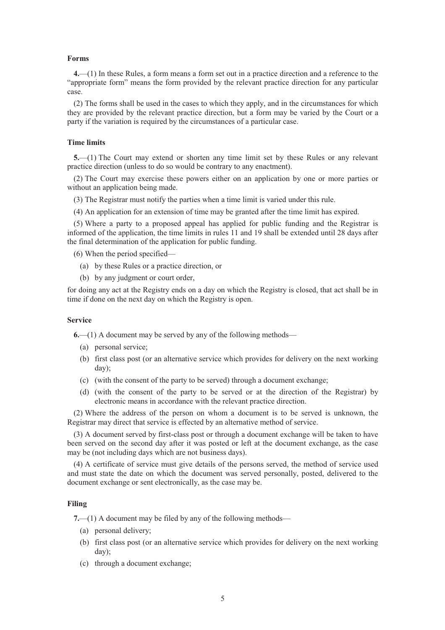#### **Forms**

**4.**—(1) In these Rules, a form means a form set out in a practice direction and a reference to the "appropriate form" means the form provided by the relevant practice direction for any particular case.

(2) The forms shall be used in the cases to which they apply, and in the circumstances for which they are provided by the relevant practice direction, but a form may be varied by the Court or a party if the variation is required by the circumstances of a particular case.

## **Time limits**

**5.**—(1) The Court may extend or shorten any time limit set by these Rules or any relevant practice direction (unless to do so would be contrary to any enactment).

(2) The Court may exercise these powers either on an application by one or more parties or without an application being made.

- (3) The Registrar must notify the parties when a time limit is varied under this rule.
- (4) An application for an extension of time may be granted after the time limit has expired.

(5) Where a party to a proposed appeal has applied for public funding and the Registrar is informed of the application, the time limits in rules 11 and 19 shall be extended until 28 days after the final determination of the application for public funding.

(6) When the period specified—

- (a) by these Rules or a practice direction, or
- (b) by any judgment or court order,

for doing any act at the Registry ends on a day on which the Registry is closed, that act shall be in time if done on the next day on which the Registry is open.

#### **Service**

**6.**—(1) A document may be served by any of the following methods—

- (a) personal service;
- (b) first class post (or an alternative service which provides for delivery on the next working day);
- (c) (with the consent of the party to be served) through a document exchange;
- (d) (with the consent of the party to be served or at the direction of the Registrar) by electronic means in accordance with the relevant practice direction.

(2) Where the address of the person on whom a document is to be served is unknown, the Registrar may direct that service is effected by an alternative method of service.

(3) A document served by first-class post or through a document exchange will be taken to have been served on the second day after it was posted or left at the document exchange, as the case may be (not including days which are not business days).

(4) A certificate of service must give details of the persons served, the method of service used and must state the date on which the document was served personally, posted, delivered to the document exchange or sent electronically, as the case may be.

## **Filing**

**7.**—(1) A document may be filed by any of the following methods—

- (a) personal delivery;
- (b) first class post (or an alternative service which provides for delivery on the next working day);
- (c) through a document exchange;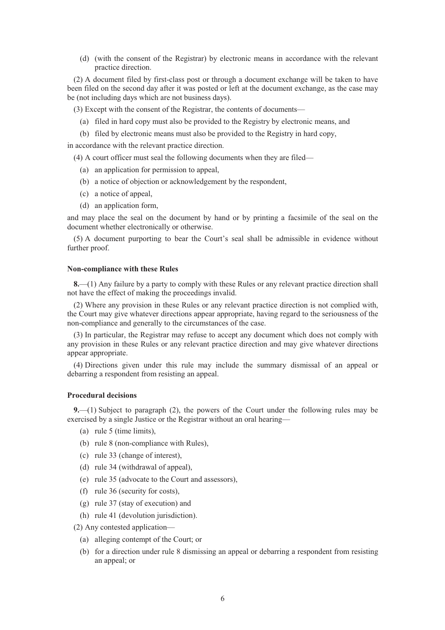(d) (with the consent of the Registrar) by electronic means in accordance with the relevant practice direction.

(2) A document filed by first-class post or through a document exchange will be taken to have been filed on the second day after it was posted or left at the document exchange, as the case may be (not including days which are not business days).

(3) Except with the consent of the Registrar, the contents of documents—

- (a) filed in hard copy must also be provided to the Registry by electronic means, and
- (b) filed by electronic means must also be provided to the Registry in hard copy,

in accordance with the relevant practice direction.

(4) A court officer must seal the following documents when they are filed—

- (a) an application for permission to appeal,
- (b) a notice of objection or acknowledgement by the respondent,
- (c) a notice of appeal,
- (d) an application form,

and may place the seal on the document by hand or by printing a facsimile of the seal on the document whether electronically or otherwise.

(5) A document purporting to bear the Court's seal shall be admissible in evidence without further proof.

#### **Non-compliance with these Rules**

**8.**—(1) Any failure by a party to comply with these Rules or any relevant practice direction shall not have the effect of making the proceedings invalid.

(2) Where any provision in these Rules or any relevant practice direction is not complied with, the Court may give whatever directions appear appropriate, having regard to the seriousness of the non-compliance and generally to the circumstances of the case.

(3) In particular, the Registrar may refuse to accept any document which does not comply with any provision in these Rules or any relevant practice direction and may give whatever directions appear appropriate.

(4) Directions given under this rule may include the summary dismissal of an appeal or debarring a respondent from resisting an appeal.

## **Procedural decisions**

**9.**—(1) Subject to paragraph (2), the powers of the Court under the following rules may be exercised by a single Justice or the Registrar without an oral hearing—

- (a) rule 5 (time limits),
- (b) rule 8 (non-compliance with Rules),
- (c) rule 33 (change of interest),
- (d) rule 34 (withdrawal of appeal),
- (e) rule 35 (advocate to the Court and assessors),
- (f) rule 36 (security for costs),
- (g) rule 37 (stay of execution) and
- (h) rule 41 (devolution jurisdiction).

(2) Any contested application—

- (a) alleging contempt of the Court; or
- (b) for a direction under rule 8 dismissing an appeal or debarring a respondent from resisting an appeal; or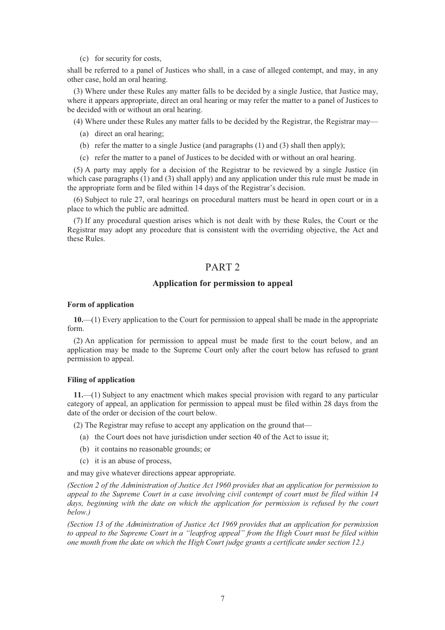(c) for security for costs,

shall be referred to a panel of Justices who shall, in a case of alleged contempt, and may, in any other case, hold an oral hearing.

(3) Where under these Rules any matter falls to be decided by a single Justice, that Justice may, where it appears appropriate, direct an oral hearing or may refer the matter to a panel of Justices to be decided with or without an oral hearing.

(4) Where under these Rules any matter falls to be decided by the Registrar, the Registrar may—

- (a) direct an oral hearing;
- (b) refer the matter to a single Justice (and paragraphs (1) and (3) shall then apply);
- (c) refer the matter to a panel of Justices to be decided with or without an oral hearing.

(5) A party may apply for a decision of the Registrar to be reviewed by a single Justice (in which case paragraphs (1) and (3) shall apply) and any application under this rule must be made in the appropriate form and be filed within 14 days of the Registrar's decision.

(6) Subject to rule 27, oral hearings on procedural matters must be heard in open court or in a place to which the public are admitted.

(7) If any procedural question arises which is not dealt with by these Rules, the Court or the Registrar may adopt any procedure that is consistent with the overriding objective, the Act and these Rules.

## PART 2

## **Application for permission to appeal**

### **Form of application**

**10.**—(1) Every application to the Court for permission to appeal shall be made in the appropriate form.

(2) An application for permission to appeal must be made first to the court below, and an application may be made to the Supreme Court only after the court below has refused to grant permission to appeal.

### **Filing of application**

**11.**—(1) Subject to any enactment which makes special provision with regard to any particular category of appeal, an application for permission to appeal must be filed within 28 days from the date of the order or decision of the court below.

(2) The Registrar may refuse to accept any application on the ground that—

- (a) the Court does not have jurisdiction under section 40 of the Act to issue it;
- (b) it contains no reasonable grounds; or
- (c) it is an abuse of process,

and may give whatever directions appear appropriate.

*(Section 2 of the Administration of Justice Act 1960 provides that an application for permission to appeal to the Supreme Court in a case involving civil contempt of court must be filed within 14*  days, beginning with the date on which the application for permission is refused by the court *below.)* 

*(Section 13 of the Administration of Justice Act 1969 provides that an application for permission to appeal to the Supreme Court in a "leapfrog appeal" from the High Court must be filed within one month from the date on which the High Court judge grants a certificate under section 12.)*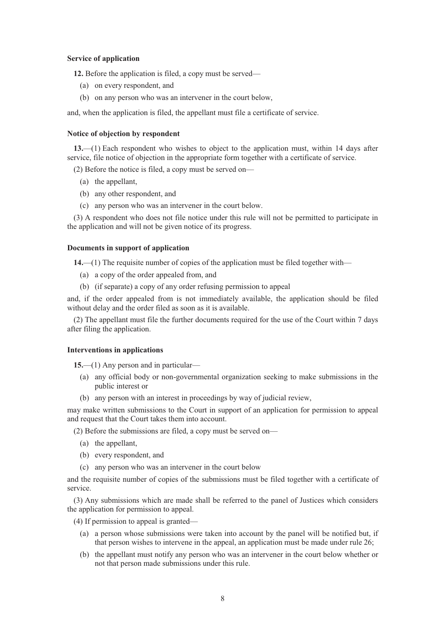### **Service of application**

**12.** Before the application is filed, a copy must be served—

- (a) on every respondent, and
- (b) on any person who was an intervener in the court below,

and, when the application is filed, the appellant must file a certificate of service.

#### **Notice of objection by respondent**

**13.**—(1) Each respondent who wishes to object to the application must, within 14 days after service, file notice of objection in the appropriate form together with a certificate of service.

(2) Before the notice is filed, a copy must be served on—

- (a) the appellant,
- (b) any other respondent, and
- (c) any person who was an intervener in the court below.

(3) A respondent who does not file notice under this rule will not be permitted to participate in the application and will not be given notice of its progress.

#### **Documents in support of application**

**14.**—(1) The requisite number of copies of the application must be filed together with—

- (a) a copy of the order appealed from, and
- (b) (if separate) a copy of any order refusing permission to appeal

and, if the order appealed from is not immediately available, the application should be filed without delay and the order filed as soon as it is available.

(2) The appellant must file the further documents required for the use of the Court within 7 days after filing the application.

#### **Interventions in applications**

**15.**—(1) Any person and in particular—

- (a) any official body or non-governmental organization seeking to make submissions in the public interest or
- (b) any person with an interest in proceedings by way of judicial review,

may make written submissions to the Court in support of an application for permission to appeal and request that the Court takes them into account.

(2) Before the submissions are filed, a copy must be served on—

- (a) the appellant,
- (b) every respondent, and
- (c) any person who was an intervener in the court below

and the requisite number of copies of the submissions must be filed together with a certificate of service.

(3) Any submissions which are made shall be referred to the panel of Justices which considers the application for permission to appeal.

- (4) If permission to appeal is granted—
	- (a) a person whose submissions were taken into account by the panel will be notified but, if that person wishes to intervene in the appeal, an application must be made under rule 26;
	- (b) the appellant must notify any person who was an intervener in the court below whether or not that person made submissions under this rule.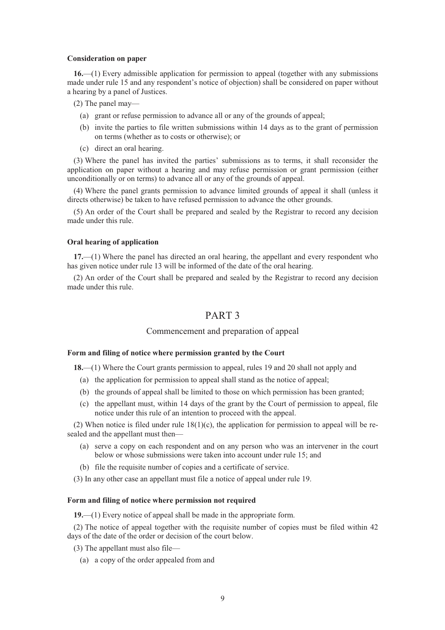#### **Consideration on paper**

**16.**—(1) Every admissible application for permission to appeal (together with any submissions made under rule 15 and any respondent's notice of objection) shall be considered on paper without a hearing by a panel of Justices.

(2) The panel may—

- (a) grant or refuse permission to advance all or any of the grounds of appeal;
- (b) invite the parties to file written submissions within 14 days as to the grant of permission on terms (whether as to costs or otherwise); or
- (c) direct an oral hearing.

(3) Where the panel has invited the parties' submissions as to terms, it shall reconsider the application on paper without a hearing and may refuse permission or grant permission (either unconditionally or on terms) to advance all or any of the grounds of appeal.

(4) Where the panel grants permission to advance limited grounds of appeal it shall (unless it directs otherwise) be taken to have refused permission to advance the other grounds.

(5) An order of the Court shall be prepared and sealed by the Registrar to record any decision made under this rule.

## **Oral hearing of application**

**17.**—(1) Where the panel has directed an oral hearing, the appellant and every respondent who has given notice under rule 13 will be informed of the date of the oral hearing.

(2) An order of the Court shall be prepared and sealed by the Registrar to record any decision made under this rule.

## PART 3

## Commencement and preparation of appeal

### **Form and filing of notice where permission granted by the Court**

**18.**—(1) Where the Court grants permission to appeal, rules 19 and 20 shall not apply and

- (a) the application for permission to appeal shall stand as the notice of appeal;
- (b) the grounds of appeal shall be limited to those on which permission has been granted;
- (c) the appellant must, within 14 days of the grant by the Court of permission to appeal, file notice under this rule of an intention to proceed with the appeal.

(2) When notice is filed under rule  $18(1)(c)$ , the application for permission to appeal will be resealed and the appellant must then—

- (a) serve a copy on each respondent and on any person who was an intervener in the court below or whose submissions were taken into account under rule 15; and
- (b) file the requisite number of copies and a certificate of service.
- (3) In any other case an appellant must file a notice of appeal under rule 19.

## **Form and filing of notice where permission not required**

**19.**—(1) Every notice of appeal shall be made in the appropriate form.

(2) The notice of appeal together with the requisite number of copies must be filed within 42 days of the date of the order or decision of the court below.

- (3) The appellant must also file—
	- (a) a copy of the order appealed from and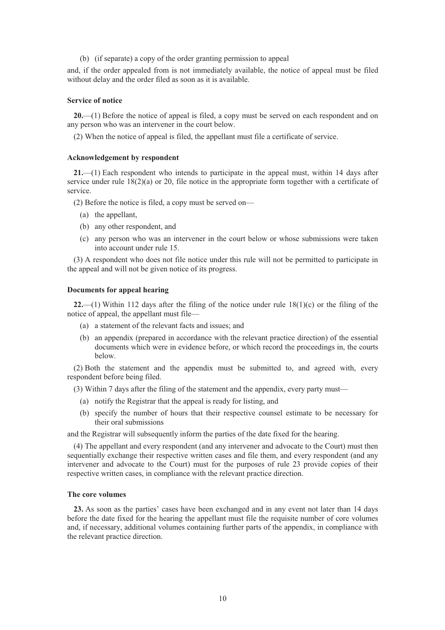(b) (if separate) a copy of the order granting permission to appeal

and, if the order appealed from is not immediately available, the notice of appeal must be filed without delay and the order filed as soon as it is available.

#### **Service of notice**

**20.**—(1) Before the notice of appeal is filed, a copy must be served on each respondent and on any person who was an intervener in the court below.

(2) When the notice of appeal is filed, the appellant must file a certificate of service.

#### **Acknowledgement by respondent**

**21.**—(1) Each respondent who intends to participate in the appeal must, within 14 days after service under rule  $18(2)(a)$  or 20, file notice in the appropriate form together with a certificate of service.

(2) Before the notice is filed, a copy must be served on—

- (a) the appellant,
- (b) any other respondent, and
- (c) any person who was an intervener in the court below or whose submissions were taken into account under rule 15.

(3) A respondent who does not file notice under this rule will not be permitted to participate in the appeal and will not be given notice of its progress.

#### **Documents for appeal hearing**

**22.**—(1) Within 112 days after the filing of the notice under rule 18(1)(c) or the filing of the notice of appeal, the appellant must file—

- (a) a statement of the relevant facts and issues; and
- (b) an appendix (prepared in accordance with the relevant practice direction) of the essential documents which were in evidence before, or which record the proceedings in, the courts below.

(2) Both the statement and the appendix must be submitted to, and agreed with, every respondent before being filed.

- (3) Within 7 days after the filing of the statement and the appendix, every party must—
	- (a) notify the Registrar that the appeal is ready for listing, and
	- (b) specify the number of hours that their respective counsel estimate to be necessary for their oral submissions

and the Registrar will subsequently inform the parties of the date fixed for the hearing.

(4) The appellant and every respondent (and any intervener and advocate to the Court) must then sequentially exchange their respective written cases and file them, and every respondent (and any intervener and advocate to the Court) must for the purposes of rule 23 provide copies of their respective written cases, in compliance with the relevant practice direction.

### **The core volumes**

**23.** As soon as the parties' cases have been exchanged and in any event not later than 14 days before the date fixed for the hearing the appellant must file the requisite number of core volumes and, if necessary, additional volumes containing further parts of the appendix, in compliance with the relevant practice direction.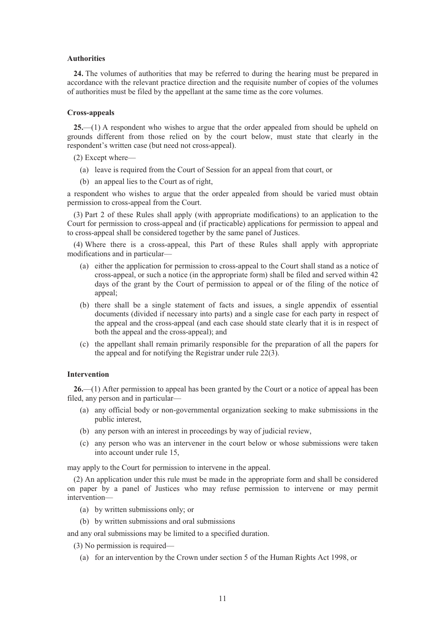#### **Authorities**

**24.** The volumes of authorities that may be referred to during the hearing must be prepared in accordance with the relevant practice direction and the requisite number of copies of the volumes of authorities must be filed by the appellant at the same time as the core volumes.

#### **Cross-appeals**

**25.**—(1) A respondent who wishes to argue that the order appealed from should be upheld on grounds different from those relied on by the court below, must state that clearly in the respondent's written case (but need not cross-appeal).

(2) Except where—

- (a) leave is required from the Court of Session for an appeal from that court, or
- (b) an appeal lies to the Court as of right,

a respondent who wishes to argue that the order appealed from should be varied must obtain permission to cross-appeal from the Court.

(3) Part 2 of these Rules shall apply (with appropriate modifications) to an application to the Court for permission to cross-appeal and (if practicable) applications for permission to appeal and to cross-appeal shall be considered together by the same panel of Justices.

(4) Where there is a cross-appeal, this Part of these Rules shall apply with appropriate modifications and in particular—

- (a) either the application for permission to cross-appeal to the Court shall stand as a notice of cross-appeal, or such a notice (in the appropriate form) shall be filed and served within 42 days of the grant by the Court of permission to appeal or of the filing of the notice of appeal;
- (b) there shall be a single statement of facts and issues, a single appendix of essential documents (divided if necessary into parts) and a single case for each party in respect of the appeal and the cross-appeal (and each case should state clearly that it is in respect of both the appeal and the cross-appeal); and
- (c) the appellant shall remain primarily responsible for the preparation of all the papers for the appeal and for notifying the Registrar under rule 22(3).

## **Intervention**

**26.**—(1) After permission to appeal has been granted by the Court or a notice of appeal has been filed, any person and in particular—

- (a) any official body or non-governmental organization seeking to make submissions in the public interest,
- (b) any person with an interest in proceedings by way of judicial review,
- (c) any person who was an intervener in the court below or whose submissions were taken into account under rule 15,

may apply to the Court for permission to intervene in the appeal.

(2) An application under this rule must be made in the appropriate form and shall be considered on paper by a panel of Justices who may refuse permission to intervene or may permit intervention—

- (a) by written submissions only; or
- (b) by written submissions and oral submissions

and any oral submissions may be limited to a specified duration.

- (3) No permission is required—
	- (a) for an intervention by the Crown under section 5 of the Human Rights Act 1998, or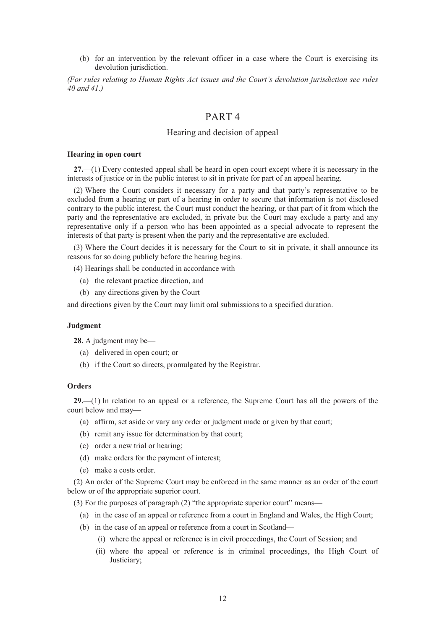(b) for an intervention by the relevant officer in a case where the Court is exercising its devolution jurisdiction.

*(For rules relating to Human Rights Act issues and the Court's devolution jurisdiction see rules 40 and 41.)* 

## PART 4

## Hearing and decision of appeal

#### **Hearing in open court**

**27.**—(1) Every contested appeal shall be heard in open court except where it is necessary in the interests of justice or in the public interest to sit in private for part of an appeal hearing.

(2) Where the Court considers it necessary for a party and that party's representative to be excluded from a hearing or part of a hearing in order to secure that information is not disclosed contrary to the public interest, the Court must conduct the hearing, or that part of it from which the party and the representative are excluded, in private but the Court may exclude a party and any representative only if a person who has been appointed as a special advocate to represent the interests of that party is present when the party and the representative are excluded.

(3) Where the Court decides it is necessary for the Court to sit in private, it shall announce its reasons for so doing publicly before the hearing begins.

(4) Hearings shall be conducted in accordance with—

- (a) the relevant practice direction, and
- (b) any directions given by the Court

and directions given by the Court may limit oral submissions to a specified duration.

#### **Judgment**

**28.** A judgment may be—

- (a) delivered in open court; or
- (b) if the Court so directs, promulgated by the Registrar.

#### **Orders**

**29.**—(1) In relation to an appeal or a reference, the Supreme Court has all the powers of the court below and may—

- (a) affirm, set aside or vary any order or judgment made or given by that court;
- (b) remit any issue for determination by that court;
- (c) order a new trial or hearing;
- (d) make orders for the payment of interest;
- (e) make a costs order.

(2) An order of the Supreme Court may be enforced in the same manner as an order of the court below or of the appropriate superior court.

(3) For the purposes of paragraph (2) "the appropriate superior court" means—

- (a) in the case of an appeal or reference from a court in England and Wales, the High Court;
- (b) in the case of an appeal or reference from a court in Scotland—
	- (i) where the appeal or reference is in civil proceedings, the Court of Session; and
	- (ii) where the appeal or reference is in criminal proceedings, the High Court of Justiciary;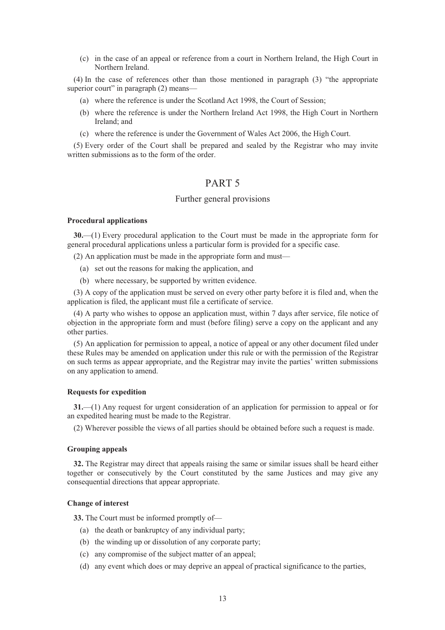(c) in the case of an appeal or reference from a court in Northern Ireland, the High Court in Northern Ireland.

(4) In the case of references other than those mentioned in paragraph (3) "the appropriate superior court" in paragraph (2) means—

- (a) where the reference is under the Scotland Act 1998, the Court of Session;
- (b) where the reference is under the Northern Ireland Act 1998, the High Court in Northern Ireland; and
- (c) where the reference is under the Government of Wales Act 2006, the High Court.

(5) Every order of the Court shall be prepared and sealed by the Registrar who may invite written submissions as to the form of the order.

## PART 5

## Further general provisions

#### **Procedural applications**

**30.**—(1) Every procedural application to the Court must be made in the appropriate form for general procedural applications unless a particular form is provided for a specific case.

(2) An application must be made in the appropriate form and must—

- (a) set out the reasons for making the application, and
- (b) where necessary, be supported by written evidence.

(3) A copy of the application must be served on every other party before it is filed and, when the application is filed, the applicant must file a certificate of service.

(4) A party who wishes to oppose an application must, within 7 days after service, file notice of objection in the appropriate form and must (before filing) serve a copy on the applicant and any other parties.

(5) An application for permission to appeal, a notice of appeal or any other document filed under these Rules may be amended on application under this rule or with the permission of the Registrar on such terms as appear appropriate, and the Registrar may invite the parties' written submissions on any application to amend.

## **Requests for expedition**

**31.**—(1) Any request for urgent consideration of an application for permission to appeal or for an expedited hearing must be made to the Registrar.

(2) Wherever possible the views of all parties should be obtained before such a request is made.

#### **Grouping appeals**

**32.** The Registrar may direct that appeals raising the same or similar issues shall be heard either together or consecutively by the Court constituted by the same Justices and may give any consequential directions that appear appropriate.

## **Change of interest**

**33.** The Court must be informed promptly of—

- (a) the death or bankruptcy of any individual party;
- (b) the winding up or dissolution of any corporate party;
- (c) any compromise of the subject matter of an appeal;
- (d) any event which does or may deprive an appeal of practical significance to the parties,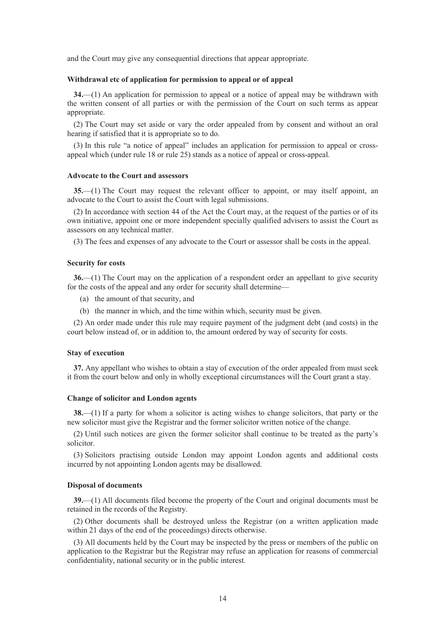and the Court may give any consequential directions that appear appropriate.

#### **Withdrawal etc of application for permission to appeal or of appeal**

**34.**—(1) An application for permission to appeal or a notice of appeal may be withdrawn with the written consent of all parties or with the permission of the Court on such terms as appear appropriate.

(2) The Court may set aside or vary the order appealed from by consent and without an oral hearing if satisfied that it is appropriate so to do.

(3) In this rule "a notice of appeal" includes an application for permission to appeal or crossappeal which (under rule 18 or rule 25) stands as a notice of appeal or cross-appeal.

## **Advocate to the Court and assessors**

**35.**—(1) The Court may request the relevant officer to appoint, or may itself appoint, an advocate to the Court to assist the Court with legal submissions.

(2) In accordance with section 44 of the Act the Court may, at the request of the parties or of its own initiative, appoint one or more independent specially qualified advisers to assist the Court as assessors on any technical matter.

(3) The fees and expenses of any advocate to the Court or assessor shall be costs in the appeal.

#### **Security for costs**

**36.**—(1) The Court may on the application of a respondent order an appellant to give security for the costs of the appeal and any order for security shall determine—

- (a) the amount of that security, and
- (b) the manner in which, and the time within which, security must be given.

(2) An order made under this rule may require payment of the judgment debt (and costs) in the court below instead of, or in addition to, the amount ordered by way of security for costs.

#### **Stay of execution**

**37.** Any appellant who wishes to obtain a stay of execution of the order appealed from must seek it from the court below and only in wholly exceptional circumstances will the Court grant a stay.

#### **Change of solicitor and London agents**

**38.**—(1) If a party for whom a solicitor is acting wishes to change solicitors, that party or the new solicitor must give the Registrar and the former solicitor written notice of the change.

(2) Until such notices are given the former solicitor shall continue to be treated as the party's solicitor.

(3) Solicitors practising outside London may appoint London agents and additional costs incurred by not appointing London agents may be disallowed.

#### **Disposal of documents**

**39.**—(1) All documents filed become the property of the Court and original documents must be retained in the records of the Registry.

(2) Other documents shall be destroyed unless the Registrar (on a written application made within 21 days of the end of the proceedings) directs otherwise.

(3) All documents held by the Court may be inspected by the press or members of the public on application to the Registrar but the Registrar may refuse an application for reasons of commercial confidentiality, national security or in the public interest.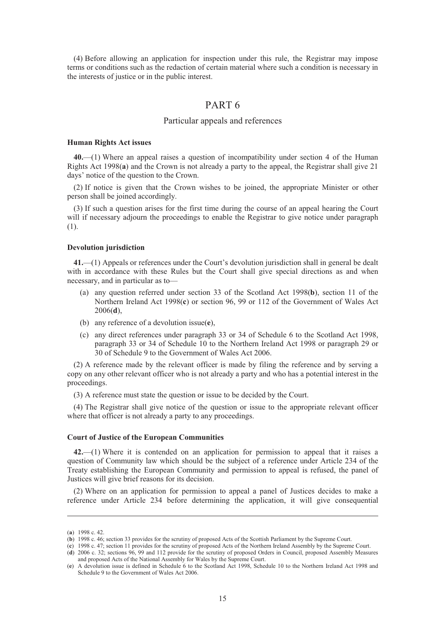(4) Before allowing an application for inspection under this rule, the Registrar may impose terms or conditions such as the redaction of certain material where such a condition is necessary in the interests of justice or in the public interest.

## PART 6

## Particular appeals and references

#### **Human Rights Act issues**

**40.**—(1) Where an appeal raises a question of incompatibility under section 4 of the Human Rights Act 1998(**a**) and the Crown is not already a party to the appeal, the Registrar shall give 21 days' notice of the question to the Crown.

(2) If notice is given that the Crown wishes to be joined, the appropriate Minister or other person shall be joined accordingly.

(3) If such a question arises for the first time during the course of an appeal hearing the Court will if necessary adjourn the proceedings to enable the Registrar to give notice under paragraph (1).

#### **Devolution jurisdiction**

**41.**—(1) Appeals or references under the Court's devolution jurisdiction shall in general be dealt with in accordance with these Rules but the Court shall give special directions as and when necessary, and in particular as to—

- (a) any question referred under section 33 of the Scotland Act 1998(**b**), section 11 of the Northern Ireland Act 1998(**c**) or section 96, 99 or 112 of the Government of Wales Act 2006(**d**),
- (b) any reference of a devolution issue(**e**),
- (c) any direct references under paragraph 33 or 34 of Schedule 6 to the Scotland Act 1998, paragraph 33 or 34 of Schedule 10 to the Northern Ireland Act 1998 or paragraph 29 or 30 of Schedule 9 to the Government of Wales Act 2006.

(2) A reference made by the relevant officer is made by filing the reference and by serving a copy on any other relevant officer who is not already a party and who has a potential interest in the proceedings.

(3) A reference must state the question or issue to be decided by the Court.

(4) The Registrar shall give notice of the question or issue to the appropriate relevant officer where that officer is not already a party to any proceedings.

#### **Court of Justice of the European Communities**

**42.**—(1) Where it is contended on an application for permission to appeal that it raises a question of Community law which should be the subject of a reference under Article 234 of the Treaty establishing the European Community and permission to appeal is refused, the panel of Justices will give brief reasons for its decision.

(2) Where on an application for permission to appeal a panel of Justices decides to make a reference under Article 234 before determining the application, it will give consequential

-

<sup>(</sup>**a**) 1998 c. 42.

<sup>(</sup>**b**) 1998 c. 46; section 33 provides for the scrutiny of proposed Acts of the Scottish Parliament by the Supreme Court.

<sup>(</sup>**c**) 1998 c. 47; section 11 provides for the scrutiny of proposed Acts of the Northern Ireland Assembly by the Supreme Court.

<sup>(</sup>**d**) 2006 c. 32; sections 96, 99 and 112 provide for the scrutiny of proposed Orders in Council, proposed Assembly Measures and proposed Acts of the National Assembly for Wales by the Supreme Court.

<sup>(</sup>**e**) A devolution issue is defined in Schedule 6 to the Scotland Act 1998, Schedule 10 to the Northern Ireland Act 1998 and Schedule 9 to the Government of Wales Act 2006.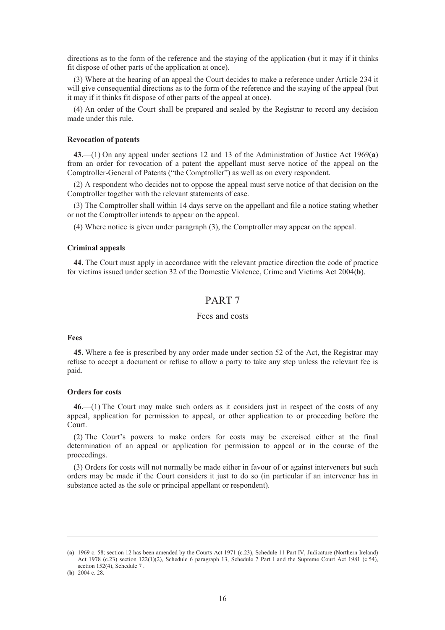directions as to the form of the reference and the staying of the application (but it may if it thinks fit dispose of other parts of the application at once).

(3) Where at the hearing of an appeal the Court decides to make a reference under Article 234 it will give consequential directions as to the form of the reference and the staying of the appeal (but it may if it thinks fit dispose of other parts of the appeal at once).

(4) An order of the Court shall be prepared and sealed by the Registrar to record any decision made under this rule.

#### **Revocation of patents**

**43.**—(1) On any appeal under sections 12 and 13 of the Administration of Justice Act 1969(**a**) from an order for revocation of a patent the appellant must serve notice of the appeal on the Comptroller-General of Patents ("the Comptroller") as well as on every respondent.

(2) A respondent who decides not to oppose the appeal must serve notice of that decision on the Comptroller together with the relevant statements of case.

(3) The Comptroller shall within 14 days serve on the appellant and file a notice stating whether or not the Comptroller intends to appear on the appeal.

(4) Where notice is given under paragraph (3), the Comptroller may appear on the appeal.

#### **Criminal appeals**

**44.** The Court must apply in accordance with the relevant practice direction the code of practice for victims issued under section 32 of the Domestic Violence, Crime and Victims Act 2004(**b**).

## PART 7

## Fees and costs

#### **Fees**

**45.** Where a fee is prescribed by any order made under section 52 of the Act, the Registrar may refuse to accept a document or refuse to allow a party to take any step unless the relevant fee is paid.

#### **Orders for costs**

**46.**—(1) The Court may make such orders as it considers just in respect of the costs of any appeal, application for permission to appeal, or other application to or proceeding before the Court.

(2) The Court's powers to make orders for costs may be exercised either at the final determination of an appeal or application for permission to appeal or in the course of the proceedings.

(3) Orders for costs will not normally be made either in favour of or against interveners but such orders may be made if the Court considers it just to do so (in particular if an intervener has in substance acted as the sole or principal appellant or respondent).

-

<sup>(</sup>**a**) 1969 c. 58; section 12 has been amended by the Courts Act 1971 (c.23), Schedule 11 Part IV, Judicature (Northern Ireland) Act 1978 (c.23) section 122(1)(2), Schedule 6 paragraph 13, Schedule 7 Part I and the Supreme Court Act 1981 (c.54), section 152(4), Schedule 7 .

<sup>(</sup>**b**) 2004 c. 28.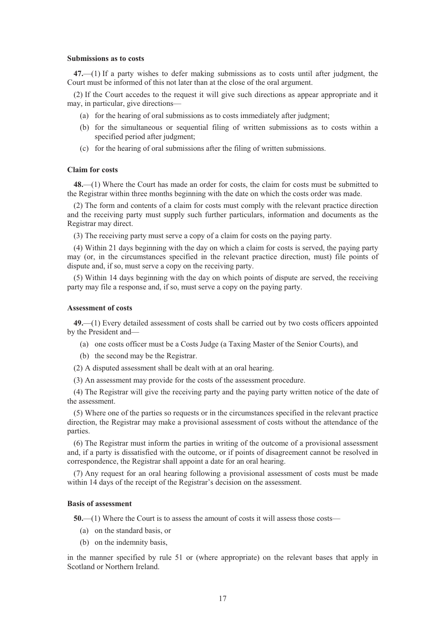#### **Submissions as to costs**

**47.**—(1) If a party wishes to defer making submissions as to costs until after judgment, the Court must be informed of this not later than at the close of the oral argument.

(2) If the Court accedes to the request it will give such directions as appear appropriate and it may, in particular, give directions—

- (a) for the hearing of oral submissions as to costs immediately after judgment;
- (b) for the simultaneous or sequential filing of written submissions as to costs within a specified period after judgment;
- (c) for the hearing of oral submissions after the filing of written submissions.

### **Claim for costs**

**48.**—(1) Where the Court has made an order for costs, the claim for costs must be submitted to the Registrar within three months beginning with the date on which the costs order was made.

(2) The form and contents of a claim for costs must comply with the relevant practice direction and the receiving party must supply such further particulars, information and documents as the Registrar may direct.

(3) The receiving party must serve a copy of a claim for costs on the paying party.

(4) Within 21 days beginning with the day on which a claim for costs is served, the paying party may (or, in the circumstances specified in the relevant practice direction, must) file points of dispute and, if so, must serve a copy on the receiving party.

(5) Within 14 days beginning with the day on which points of dispute are served, the receiving party may file a response and, if so, must serve a copy on the paying party.

#### **Assessment of costs**

**49.**—(1) Every detailed assessment of costs shall be carried out by two costs officers appointed by the President and—

- (a) one costs officer must be a Costs Judge (a Taxing Master of the Senior Courts), and
- (b) the second may be the Registrar.
- (2) A disputed assessment shall be dealt with at an oral hearing.
- (3) An assessment may provide for the costs of the assessment procedure.

(4) The Registrar will give the receiving party and the paying party written notice of the date of the assessment.

(5) Where one of the parties so requests or in the circumstances specified in the relevant practice direction, the Registrar may make a provisional assessment of costs without the attendance of the parties.

(6) The Registrar must inform the parties in writing of the outcome of a provisional assessment and, if a party is dissatisfied with the outcome, or if points of disagreement cannot be resolved in correspondence, the Registrar shall appoint a date for an oral hearing.

(7) Any request for an oral hearing following a provisional assessment of costs must be made within 14 days of the receipt of the Registrar's decision on the assessment.

#### **Basis of assessment**

**50.**—(1) Where the Court is to assess the amount of costs it will assess those costs—

- (a) on the standard basis, or
- (b) on the indemnity basis,

in the manner specified by rule 51 or (where appropriate) on the relevant bases that apply in Scotland or Northern Ireland.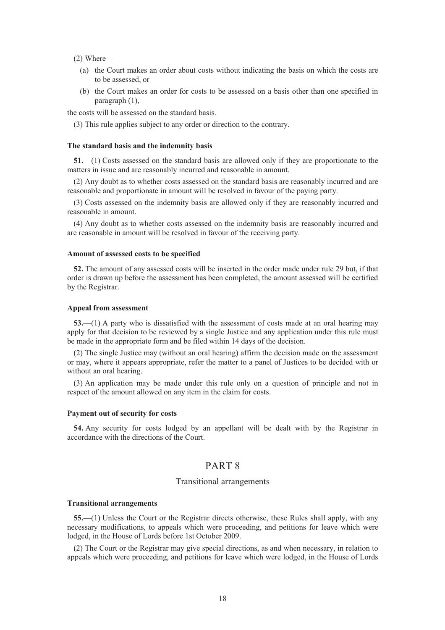(2) Where—

- (a) the Court makes an order about costs without indicating the basis on which the costs are to be assessed, or
- (b) the Court makes an order for costs to be assessed on a basis other than one specified in paragraph (1),

the costs will be assessed on the standard basis.

(3) This rule applies subject to any order or direction to the contrary.

#### **The standard basis and the indemnity basis**

**51.**—(1) Costs assessed on the standard basis are allowed only if they are proportionate to the matters in issue and are reasonably incurred and reasonable in amount.

(2) Any doubt as to whether costs assessed on the standard basis are reasonably incurred and are reasonable and proportionate in amount will be resolved in favour of the paying party.

(3) Costs assessed on the indemnity basis are allowed only if they are reasonably incurred and reasonable in amount.

(4) Any doubt as to whether costs assessed on the indemnity basis are reasonably incurred and are reasonable in amount will be resolved in favour of the receiving party.

#### **Amount of assessed costs to be specified**

**52.** The amount of any assessed costs will be inserted in the order made under rule 29 but, if that order is drawn up before the assessment has been completed, the amount assessed will be certified by the Registrar.

#### **Appeal from assessment**

**53.**—(1) A party who is dissatisfied with the assessment of costs made at an oral hearing may apply for that decision to be reviewed by a single Justice and any application under this rule must be made in the appropriate form and be filed within 14 days of the decision.

(2) The single Justice may (without an oral hearing) affirm the decision made on the assessment or may, where it appears appropriate, refer the matter to a panel of Justices to be decided with or without an oral hearing.

(3) An application may be made under this rule only on a question of principle and not in respect of the amount allowed on any item in the claim for costs.

#### **Payment out of security for costs**

**54.** Any security for costs lodged by an appellant will be dealt with by the Registrar in accordance with the directions of the Court.

## PART 8

## Transitional arrangements

#### **Transitional arrangements**

**55.**—(1) Unless the Court or the Registrar directs otherwise, these Rules shall apply, with any necessary modifications, to appeals which were proceeding, and petitions for leave which were lodged, in the House of Lords before 1st October 2009.

(2) The Court or the Registrar may give special directions, as and when necessary, in relation to appeals which were proceeding, and petitions for leave which were lodged, in the House of Lords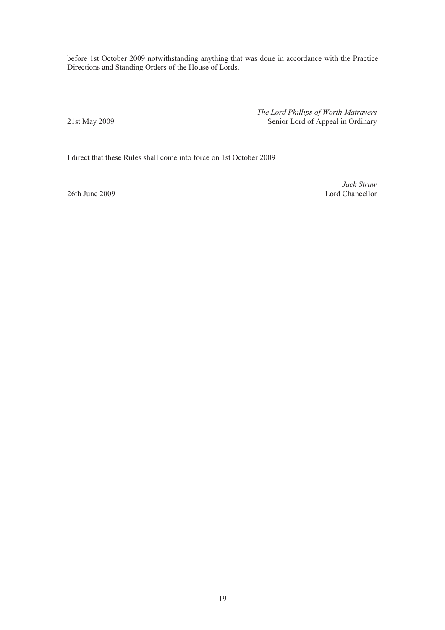before 1st October 2009 notwithstanding anything that was done in accordance with the Practice Directions and Standing Orders of the House of Lords.

*The Lord Phillips of Worth Matravers*  21st May 2009 Senior Lord of Appeal in Ordinary

I direct that these Rules shall come into force on 1st October 2009

*Jack Straw*  26th June 2009 Lord Chancellor